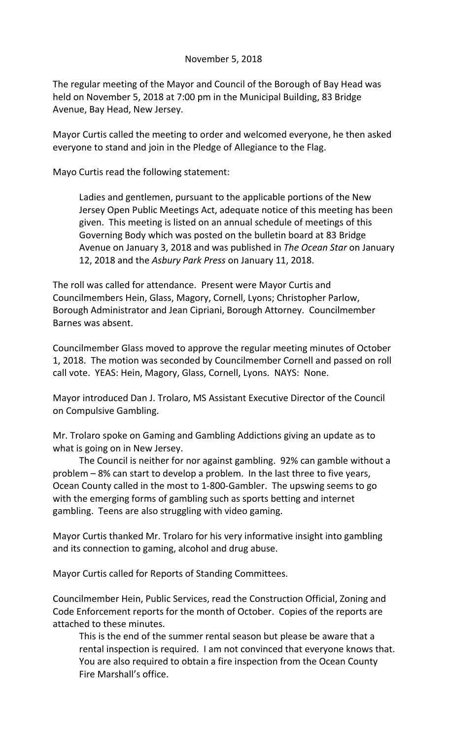## November 5, 2018

The regular meeting of the Mayor and Council of the Borough of Bay Head was held on November 5, 2018 at 7:00 pm in the Municipal Building, 83 Bridge Avenue, Bay Head, New Jersey.

Mayor Curtis called the meeting to order and welcomed everyone, he then asked everyone to stand and join in the Pledge of Allegiance to the Flag.

Mayo Curtis read the following statement:

Ladies and gentlemen, pursuant to the applicable portions of the New Jersey Open Public Meetings Act, adequate notice of this meeting has been given. This meeting is listed on an annual schedule of meetings of this Governing Body which was posted on the bulletin board at 83 Bridge Avenue on January 3, 2018 and was published in *The Ocean Star* on January 12, 2018 and the *Asbury Park Press* on January 11, 2018.

The roll was called for attendance. Present were Mayor Curtis and Councilmembers Hein, Glass, Magory, Cornell, Lyons; Christopher Parlow, Borough Administrator and Jean Cipriani, Borough Attorney. Councilmember Barnes was absent.

Councilmember Glass moved to approve the regular meeting minutes of October 1, 2018. The motion was seconded by Councilmember Cornell and passed on roll call vote. YEAS: Hein, Magory, Glass, Cornell, Lyons. NAYS: None.

Mayor introduced Dan J. Trolaro, MS Assistant Executive Director of the Council on Compulsive Gambling.

Mr. Trolaro spoke on Gaming and Gambling Addictions giving an update as to what is going on in New Jersey.

The Council is neither for nor against gambling. 92% can gamble without a problem – 8% can start to develop a problem. In the last three to five years, Ocean County called in the most to 1-800-Gambler. The upswing seems to go with the emerging forms of gambling such as sports betting and internet gambling. Teens are also struggling with video gaming.

Mayor Curtis thanked Mr. Trolaro for his very informative insight into gambling and its connection to gaming, alcohol and drug abuse.

Mayor Curtis called for Reports of Standing Committees.

Councilmember Hein, Public Services, read the Construction Official, Zoning and Code Enforcement reports for the month of October. Copies of the reports are attached to these minutes.

This is the end of the summer rental season but please be aware that a rental inspection is required. I am not convinced that everyone knows that. You are also required to obtain a fire inspection from the Ocean County Fire Marshall's office.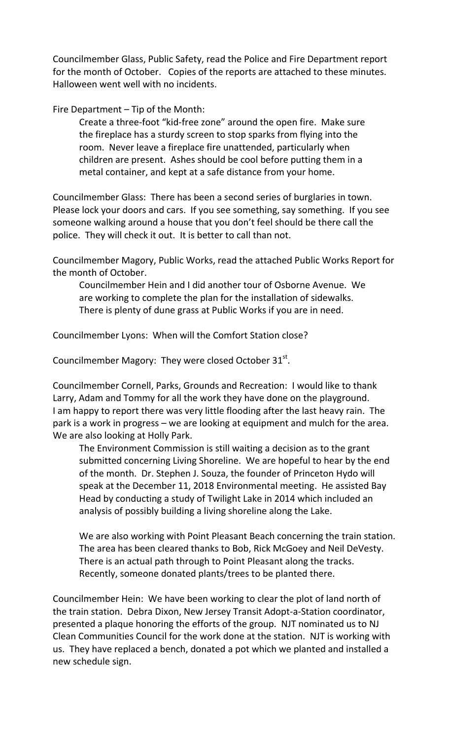Councilmember Glass, Public Safety, read the Police and Fire Department report for the month of October. Copies of the reports are attached to these minutes. Halloween went well with no incidents.

Fire Department – Tip of the Month:

Create a three-foot "kid-free zone" around the open fire. Make sure the fireplace has a sturdy screen to stop sparks from flying into the room. Never leave a fireplace fire unattended, particularly when children are present. Ashes should be cool before putting them in a metal container, and kept at a safe distance from your home.

Councilmember Glass: There has been a second series of burglaries in town. Please lock your doors and cars. If you see something, say something. If you see someone walking around a house that you don't feel should be there call the police. They will check it out. It is better to call than not.

Councilmember Magory, Public Works, read the attached Public Works Report for the month of October.

Councilmember Hein and I did another tour of Osborne Avenue. We are working to complete the plan for the installation of sidewalks. There is plenty of dune grass at Public Works if you are in need.

Councilmember Lyons: When will the Comfort Station close?

Councilmember Magory: They were closed October  $31^{st}$ .

Councilmember Cornell, Parks, Grounds and Recreation: I would like to thank Larry, Adam and Tommy for all the work they have done on the playground. I am happy to report there was very little flooding after the last heavy rain. The park is a work in progress – we are looking at equipment and mulch for the area. We are also looking at Holly Park.

The Environment Commission is still waiting a decision as to the grant submitted concerning Living Shoreline. We are hopeful to hear by the end of the month. Dr. Stephen J. Souza, the founder of Princeton Hydo will speak at the December 11, 2018 Environmental meeting. He assisted Bay Head by conducting a study of Twilight Lake in 2014 which included an analysis of possibly building a living shoreline along the Lake.

We are also working with Point Pleasant Beach concerning the train station. The area has been cleared thanks to Bob, Rick McGoey and Neil DeVesty. There is an actual path through to Point Pleasant along the tracks. Recently, someone donated plants/trees to be planted there.

Councilmember Hein: We have been working to clear the plot of land north of the train station. Debra Dixon, New Jersey Transit Adopt-a-Station coordinator, presented a plaque honoring the efforts of the group. NJT nominated us to NJ Clean Communities Council for the work done at the station. NJT is working with us. They have replaced a bench, donated a pot which we planted and installed a new schedule sign.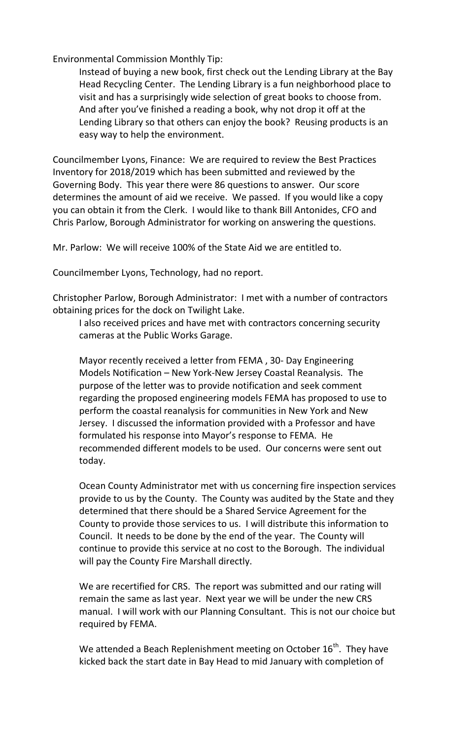Environmental Commission Monthly Tip:

Instead of buying a new book, first check out the Lending Library at the Bay Head Recycling Center. The Lending Library is a fun neighborhood place to visit and has a surprisingly wide selection of great books to choose from. And after you've finished a reading a book, why not drop it off at the Lending Library so that others can enjoy the book? Reusing products is an easy way to help the environment.

Councilmember Lyons, Finance: We are required to review the Best Practices Inventory for 2018/2019 which has been submitted and reviewed by the Governing Body. This year there were 86 questions to answer. Our score determines the amount of aid we receive. We passed. If you would like a copy you can obtain it from the Clerk. I would like to thank Bill Antonides, CFO and Chris Parlow, Borough Administrator for working on answering the questions.

Mr. Parlow: We will receive 100% of the State Aid we are entitled to.

Councilmember Lyons, Technology, had no report.

Christopher Parlow, Borough Administrator: I met with a number of contractors obtaining prices for the dock on Twilight Lake.

I also received prices and have met with contractors concerning security cameras at the Public Works Garage.

Mayor recently received a letter from FEMA , 30- Day Engineering Models Notification – New York-New Jersey Coastal Reanalysis. The purpose of the letter was to provide notification and seek comment regarding the proposed engineering models FEMA has proposed to use to perform the coastal reanalysis for communities in New York and New Jersey. I discussed the information provided with a Professor and have formulated his response into Mayor's response to FEMA. He recommended different models to be used. Our concerns were sent out today.

Ocean County Administrator met with us concerning fire inspection services provide to us by the County. The County was audited by the State and they determined that there should be a Shared Service Agreement for the County to provide those services to us. I will distribute this information to Council. It needs to be done by the end of the year. The County will continue to provide this service at no cost to the Borough. The individual will pay the County Fire Marshall directly.

We are recertified for CRS. The report was submitted and our rating will remain the same as last year. Next year we will be under the new CRS manual. I will work with our Planning Consultant. This is not our choice but required by FEMA.

We attended a Beach Replenishment meeting on October  $16^{th}$ . They have kicked back the start date in Bay Head to mid January with completion of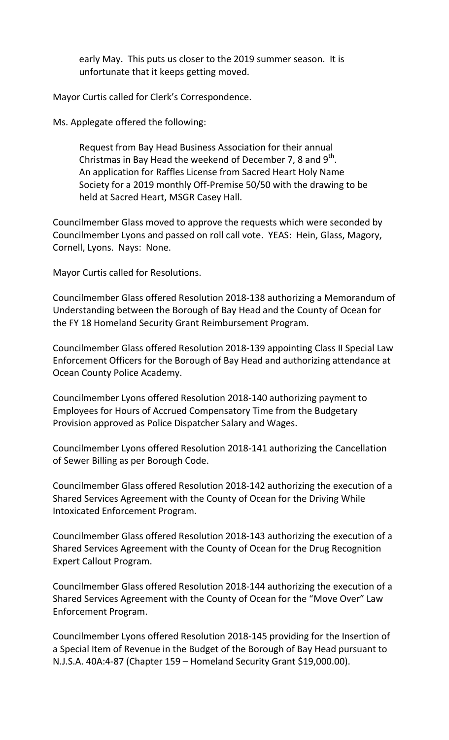early May. This puts us closer to the 2019 summer season. It is unfortunate that it keeps getting moved.

Mayor Curtis called for Clerk's Correspondence.

Ms. Applegate offered the following:

Request from Bay Head Business Association for their annual Christmas in Bay Head the weekend of December 7, 8 and  $9<sup>th</sup>$ . An application for Raffles License from Sacred Heart Holy Name Society for a 2019 monthly Off-Premise 50/50 with the drawing to be held at Sacred Heart, MSGR Casey Hall.

Councilmember Glass moved to approve the requests which were seconded by Councilmember Lyons and passed on roll call vote. YEAS: Hein, Glass, Magory, Cornell, Lyons. Nays: None.

Mayor Curtis called for Resolutions.

Councilmember Glass offered Resolution 2018-138 authorizing a Memorandum of Understanding between the Borough of Bay Head and the County of Ocean for the FY 18 Homeland Security Grant Reimbursement Program.

Councilmember Glass offered Resolution 2018-139 appointing Class II Special Law Enforcement Officers for the Borough of Bay Head and authorizing attendance at Ocean County Police Academy.

Councilmember Lyons offered Resolution 2018-140 authorizing payment to Employees for Hours of Accrued Compensatory Time from the Budgetary Provision approved as Police Dispatcher Salary and Wages.

Councilmember Lyons offered Resolution 2018-141 authorizing the Cancellation of Sewer Billing as per Borough Code.

Councilmember Glass offered Resolution 2018-142 authorizing the execution of a Shared Services Agreement with the County of Ocean for the Driving While Intoxicated Enforcement Program.

Councilmember Glass offered Resolution 2018-143 authorizing the execution of a Shared Services Agreement with the County of Ocean for the Drug Recognition Expert Callout Program.

Councilmember Glass offered Resolution 2018-144 authorizing the execution of a Shared Services Agreement with the County of Ocean for the "Move Over" Law Enforcement Program.

Councilmember Lyons offered Resolution 2018-145 providing for the Insertion of a Special Item of Revenue in the Budget of the Borough of Bay Head pursuant to N.J.S.A. 40A:4-87 (Chapter 159 – Homeland Security Grant \$19,000.00).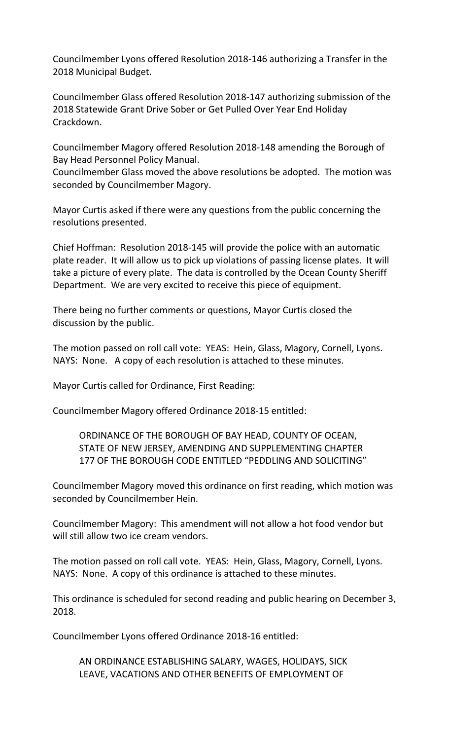Councilmember Lyons offered Resolution 2018-146 authorizing a Transfer in the 2018 Municipal Budget.

Councilmember Glass offered Resolution 2018-147 authorizing submission of the 2018 Statewide Grant Drive Sober or Get Pulled Over Year End Holiday Crackdown.

Councilmember Magory offered Resolution 2018-148 amending the Borough of Bay Head Personnel Policy Manual.

Councilmember Glass moved the above resolutions be adopted. The motion was seconded by Councilmember Magory.

Mayor Curtis asked if there were any questions from the public concerning the resolutions presented.

Chief Hoffman: Resolution 2018-145 will provide the police with an automatic plate reader. It will allow us to pick up violations of passing license plates. It will take a picture of every plate. The data is controlled by the Ocean County Sheriff Department. We are very excited to receive this piece of equipment.

There being no further comments or questions, Mayor Curtis closed the discussion by the public.

The motion passed on roll call vote: YEAS: Hein, Glass, Magory, Cornell, Lyons. NAYS: None. A copy of each resolution is attached to these minutes.

Mayor Curtis called for Ordinance, First Reading:

Councilmember Magory offered Ordinance 2018-15 entitled:

ORDINANCE OF THE BOROUGH OF BAY HEAD, COUNTY OF OCEAN, STATE OF NEW JERSEY, AMENDING AND SUPPLEMENTING CHAPTER 177 OF THE BOROUGH CODE ENTITLED "PEDDLING AND SOLICITING"

Councilmember Magory moved this ordinance on first reading, which motion was seconded by Councilmember Hein.

Councilmember Magory: This amendment will not allow a hot food vendor but will still allow two ice cream vendors.

The motion passed on roll call vote. YEAS: Hein, Glass, Magory, Cornell, Lyons. NAYS: None. A copy of this ordinance is attached to these minutes.

This ordinance is scheduled for second reading and public hearing on December 3, 2018.

Councilmember Lyons offered Ordinance 2018-16 entitled:

AN ORDINANCE ESTABLISHING SALARY, WAGES, HOLIDAYS, SICK LEAVE, VACATIONS AND OTHER BENEFITS OF EMPLOYMENT OF